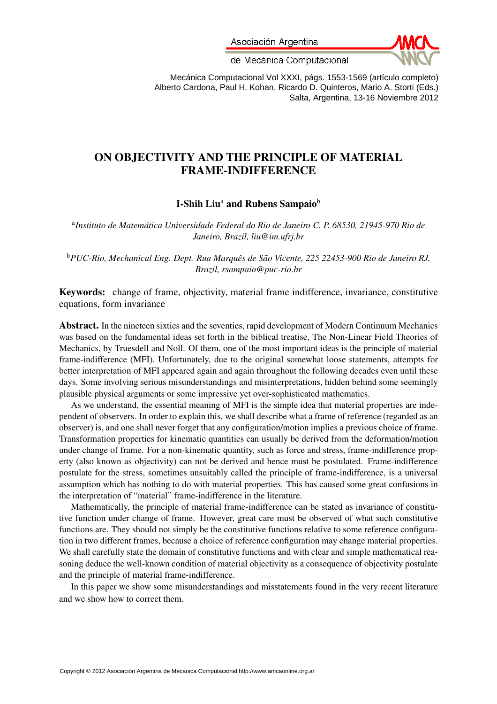Asociación Argentina



de Mecánica Computacional

Mecánica Computacional Vol XXXI, págs. 1553-1569 (artículo completo) Alberto Cardona, Paul H. Kohan, Ricardo D. Quinteros, Mario A. Storti (Eds.) Salta, Argentina, 13-16 Noviembre 2012

# ON OBJECTIVITY AND THE PRINCIPLE OF MATERIAL FRAME-INDIFFERENCE

# I-Shih Liu<sup>a</sup> and Rubens Sampaio<sup>b</sup>

a *Instituto de Matemática Universidade Federal do Rio de Janeiro C. P. 68530, 21945-970 Rio de Janeiro, Brazil, liu@im.ufrj.br*

<sup>b</sup>*PUC-Rio, Mechanical Eng. Dept. Rua Marquês de São Vicente, 225 22453-900 Rio de Janeiro RJ. Brazil, rsampaio@puc-rio.br*

Keywords: change of frame, objectivity, material frame indifference, invariance, constitutive equations, form invariance

Abstract. In the nineteen sixties and the seventies, rapid development of Modern Continuum Mechanics was based on the fundamental ideas set forth in the biblical treatise, The Non-Linear Field Theories of Mechanics, by Truesdell and Noll. Of them, one of the most important ideas is the principle of material frame-indifference (MFI). Unfortunately, due to the original somewhat loose statements, attempts for better interpretation of MFI appeared again and again throughout the following decades even until these days. Some involving serious misunderstandings and misinterpretations, hidden behind some seemingly plausible physical arguments or some impressive yet over-sophisticated mathematics.

As we understand, the essential meaning of MFI is the simple idea that material properties are independent of observers. In order to explain this, we shall describe what a frame of reference (regarded as an observer) is, and one shall never forget that any configuration/motion implies a previous choice of frame. Transformation properties for kinematic quantities can usually be derived from the deformation/motion under change of frame. For a non-kinematic quantity, such as force and stress, frame-indifference property (also known as objectivity) can not be derived and hence must be postulated. Frame-indifference postulate for the stress, sometimes unsuitably called the principle of frame-indifference, is a universal assumption which has nothing to do with material properties. This has caused some great confusions in the interpretation of "material" frame-indifference in the literature.

Mathematically, the principle of material frame-indifference can be stated as invariance of constitutive function under change of frame. However, great care must be observed of what such constitutive functions are. They should not simply be the constitutive functions relative to some reference configuration in two different frames, because a choice of reference configuration may change material properties. We shall carefully state the domain of constitutive functions and with clear and simple mathematical reasoning deduce the well-known condition of material objectivity as a consequence of objectivity postulate and the principle of material frame-indifference.

In this paper we show some misunderstandings and misstatements found in the very recent literature and we show how to correct them.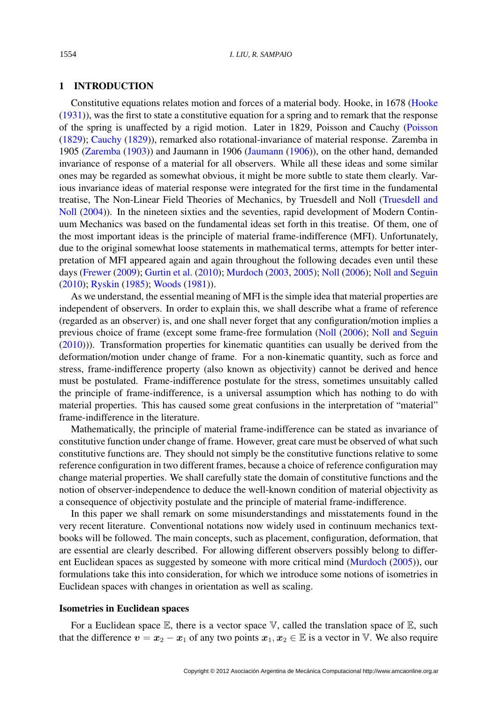### 1 INTRODUCTION

Constitutive equations relates motion and forces of a material body. Hooke, in 1678 [\(Hooke](#page-16-0) [\(1931\)](#page-16-0)), was the first to state a constitutive equation for a spring and to remark that the response of the spring is unaffected by a rigid motion. Later in 1829, Poisson and Cauchy [\(Poisson](#page-16-1) [\(1829\)](#page-16-1); [Cauchy](#page-16-2) [\(1829\)](#page-16-2)), remarked also rotational-invariance of material response. Zaremba in 1905 [\(Zaremba](#page-16-3) [\(1903\)](#page-16-3)) and Jaumann in 1906 [\(Jaumann](#page-16-4) [\(1906\)](#page-16-4)), on the other hand, demanded invariance of response of a material for all observers. While all these ideas and some similar ones may be regarded as somewhat obvious, it might be more subtle to state them clearly. Various invariance ideas of material response were integrated for the first time in the fundamental treatise, The Non-Linear Field Theories of Mechanics, by Truesdell and Noll [\(Truesdell and](#page-16-5) [Noll](#page-16-5) [\(2004\)](#page-16-5)). In the nineteen sixties and the seventies, rapid development of Modern Continuum Mechanics was based on the fundamental ideas set forth in this treatise. Of them, one of the most important ideas is the principle of material frame-indifference (MFI). Unfortunately, due to the original somewhat loose statements in mathematical terms, attempts for better interpretation of MFI appeared again and again throughout the following decades even until these days [\(Frewer](#page-16-6) [\(2009\)](#page-16-6); [Gurtin et al.](#page-16-7) [\(2010\)](#page-16-7); [Murdoch](#page-16-8) [\(2003,](#page-16-8) [2005\)](#page-16-9); [Noll](#page-16-10) [\(2006\)](#page-16-10); [Noll and Seguin](#page-16-11) [\(2010\)](#page-16-11); [Ryskin](#page-16-12) [\(1985\)](#page-16-12); [Woods](#page-16-13) [\(1981\)](#page-16-13)).

As we understand, the essential meaning of MFI is the simple idea that material properties are independent of observers. In order to explain this, we shall describe what a frame of reference (regarded as an observer) is, and one shall never forget that any configuration/motion implies a previous choice of frame (except some frame-free formulation [\(Noll](#page-16-10) [\(2006\)](#page-16-10); [Noll and Seguin](#page-16-11) [\(2010\)](#page-16-11))). Transformation properties for kinematic quantities can usually be derived from the deformation/motion under change of frame. For a non-kinematic quantity, such as force and stress, frame-indifference property (also known as objectivity) cannot be derived and hence must be postulated. Frame-indifference postulate for the stress, sometimes unsuitably called the principle of frame-indifference, is a universal assumption which has nothing to do with material properties. This has caused some great confusions in the interpretation of "material" frame-indifference in the literature.

Mathematically, the principle of material frame-indifference can be stated as invariance of constitutive function under change of frame. However, great care must be observed of what such constitutive functions are. They should not simply be the constitutive functions relative to some reference configuration in two different frames, because a choice of reference configuration may change material properties. We shall carefully state the domain of constitutive functions and the notion of observer-independence to deduce the well-known condition of material objectivity as a consequence of objectivity postulate and the principle of material frame-indifference.

In this paper we shall remark on some misunderstandings and misstatements found in the very recent literature. Conventional notations now widely used in continuum mechanics textbooks will be followed. The main concepts, such as placement, configuration, deformation, that are essential are clearly described. For allowing different observers possibly belong to different Euclidean spaces as suggested by someone with more critical mind [\(Murdoch](#page-16-9) [\(2005\)](#page-16-9)), our formulations take this into consideration, for which we introduce some notions of isometries in Euclidean spaces with changes in orientation as well as scaling.

# <span id="page-1-0"></span>Isometries in Euclidean spaces

For a Euclidean space  $\mathbb E$ , there is a vector space  $\mathbb V$ , called the translation space of  $\mathbb E$ , such that the difference  $v = x_2 - x_1$  of any two points  $x_1, x_2 \in \mathbb{E}$  is a vector in V. We also require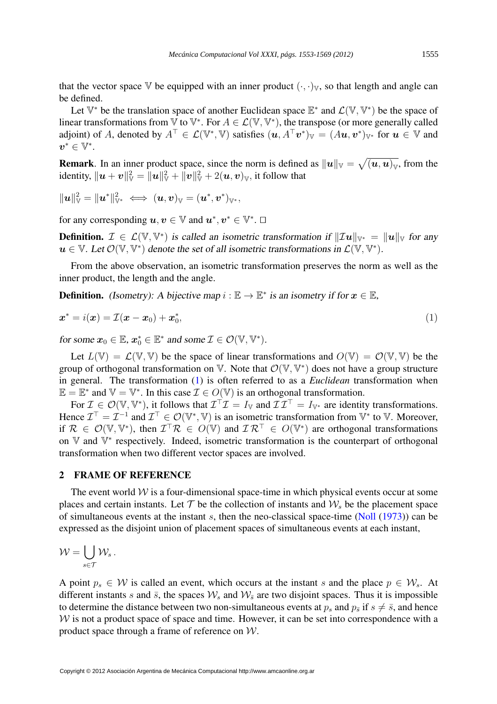that the vector space V be equipped with an inner product  $(\cdot, \cdot)_V$ , so that length and angle can be defined.

Let  $\mathbb{V}^*$  be the translation space of another Euclidean space  $\mathbb{E}^*$  and  $\mathcal{L}(\mathbb{V}, \mathbb{V}^*)$  be the space of linear transformations from  $\mathbb {V}$  to  $\mathbb {V}^*$ . For  $A \in \mathcal L(\mathbb {V}, \mathbb {V}^*)$ , the transpose (or more generally called adjoint) of A, denoted by  $A^{\top} \in \mathcal{L}(\mathbb{V}^*, \mathbb{V})$  satisfies  $(\mathbf{u}, A^{\top} \mathbf{v}^*)_{\mathbb{V}} = (A\mathbf{u}, \mathbf{v}^*)_{\mathbb{V}^*}$  for  $\mathbf{u} \in \mathbb{V}$  and  $v^*\in \mathbb{V}^*.$ 

**Remark**. In an inner product space, since the norm is defined as  $||u||_v = \sqrt{(u, u)_v}$ , from the identity,  $\|\bm{u}+\bm{v}\|_{\mathbb{V}}^2=\|\bm{u}\|_{\mathbb{V}}^2+\|\bm{v}\|_{\mathbb{V}}^2+2(\bm{u},\bm{v})_{\mathbb{V}},$  it follow that

$$
\|\boldsymbol{u}\|_{\mathbb{V}}^2=\|\boldsymbol{u}^*\|_{\mathbb{V}^*}^2 \iff (\boldsymbol{u},\boldsymbol{v})_{\mathbb{V}}=(\boldsymbol{u}^*,\boldsymbol{v}^*)_{\mathbb{V}^*},
$$

for any corresponding  $u, v \in \mathbb{V}$  and  $u^*, v^* \in \mathbb{V}^*$ .

**Definition.**  $\mathcal{I} \in \mathcal{L}(\mathbb{V}, \mathbb{V}^*)$  is called an isometric transformation if  $\|\mathcal{I}u\|_{\mathbb{V}^*} = \|u\|_{\mathbb{V}}$  for any  $u \in \mathbb{V}$ . Let  $\mathcal{O}(\mathbb{V}, \mathbb{V}^*)$  denote the set of all isometric transformations in  $\mathcal{L}(\mathbb{V}, \mathbb{V}^*)$ .

From the above observation, an isometric transformation preserves the norm as well as the inner product, the length and the angle.

**Definition.** (Isometry): A bijective map  $i : \mathbb{E} \to \mathbb{E}^*$  is an isometry if for  $x \in \mathbb{E}$ ,

$$
\boldsymbol{x}^* = i(\boldsymbol{x}) = \mathcal{I}(\boldsymbol{x} - \boldsymbol{x}_0) + \boldsymbol{x}_0^*,\tag{1}
$$

for some  $x_0 \in \mathbb{E}$ ,  $x_0^* \in \mathbb{E}^*$  and some  $\mathcal{I} \in \mathcal{O}(\mathbb{V}, \mathbb{V}^*)$ .

Let  $L(\mathbb{V}) = \mathcal{L}(\mathbb{V}, \mathbb{V})$  be the space of linear transformations and  $O(\mathbb{V}) = O(\mathbb{V}, \mathbb{V})$  be the group of orthogonal transformation on  $V$ . Note that  $\mathcal{O}(V, V^*)$  does not have a group structure in general. The transformation [\(1\)](#page-1-0) is often referred to as a *Euclidean* transformation when  $\mathbb{E} = \mathbb{E}^*$  and  $\mathbb{V} = \mathbb{V}^*$ . In this case  $\mathcal{I} \in O(\mathbb{V})$  is an orthogonal transformation.

For  $\mathcal{I} \in \mathcal{O}(\mathbb{V}, \mathbb{V}^*)$ , it follows that  $\mathcal{I}^\top \mathcal{I} = I_{\mathbb{V}}$  and  $\mathcal{I} \mathcal{I}^\top = I_{\mathbb{V}^*}$  are identity transformations. Hence  $\mathcal{I}^\top = \mathcal{I}^{-1}$  and  $\mathcal{I}^\top \in \mathcal{O}(\mathbb{V}^*, \mathbb{V})$  is an isometric transformation from  $\mathbb{V}^*$  to  $\mathbb{V}$ . Moreover, if  $\mathcal{R} \in \mathcal{O}(\mathbb{V}, \mathbb{V}^*)$ , then  $\mathcal{I}^\top \mathcal{R} \in O(\mathbb{V})$  and  $\mathcal{I} \mathcal{R}^\top \in O(\mathbb{V}^*)$  are orthogonal transformations on V and V<sup>\*</sup> respectively. Indeed, isometric transformation is the counterpart of orthogonal transformation when two different vector spaces are involved.

# 2 FRAME OF REFERENCE

The event world  $W$  is a four-dimensional space-time in which physical events occur at some places and certain instants. Let  $T$  be the collection of instants and  $W_s$  be the placement space of simultaneous events at the instant  $s$ , then the neo-classical space-time [\(Noll](#page-16-14) [\(1973\)](#page-16-14)) can be expressed as the disjoint union of placement spaces of simultaneous events at each instant,

$$
\mathcal{W}=\bigcup_{s\in\mathcal{T}}\mathcal{W}_s\,.
$$

A point  $p_s \in W$  is called an event, which occurs at the instant s and the place  $p \in W_s$ . At different instants s and  $\bar{s}$ , the spaces  $W_s$  and  $W_{\bar{s}}$  are two disjoint spaces. Thus it is impossible to determine the distance between two non-simultaneous events at  $p_s$  and  $p_{\bar{s}}$  if  $s \neq \bar{s}$ , and hence  $W$  is not a product space of space and time. However, it can be set into correspondence with a product space through a frame of reference on W.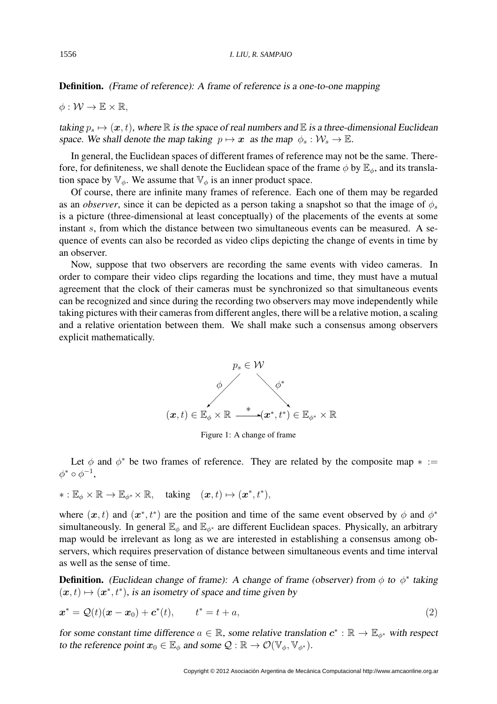# Definition. (Frame of reference): A frame of reference is a one-to-one mapping

 $\phi: \mathcal{W} \to \mathbb{E} \times \mathbb{R}$ .

taking  $p_s \mapsto (\mathbf{x}, t)$ , where R is the space of real numbers and E is a three-dimensional Euclidean space. We shall denote the map taking  $p \mapsto x$  as the map  $\phi_s : \mathcal{W}_s \to \mathbb{E}$ .

In general, the Euclidean spaces of different frames of reference may not be the same. Therefore, for definiteness, we shall denote the Euclidean space of the frame  $\phi$  by  $\mathbb{E}_{\phi}$ , and its translation space by  $\mathbb{V}_{\phi}$ . We assume that  $\mathbb{V}_{\phi}$  is an inner product space.

Of course, there are infinite many frames of reference. Each one of them may be regarded as an *observer*, since it can be depicted as a person taking a snapshot so that the image of  $\phi_s$ is a picture (three-dimensional at least conceptually) of the placements of the events at some instant s, from which the distance between two simultaneous events can be measured. A sequence of events can also be recorded as video clips depicting the change of events in time by an observer.

Now, suppose that two observers are recording the same events with video cameras. In order to compare their video clips regarding the locations and time, they must have a mutual agreement that the clock of their cameras must be synchronized so that simultaneous events can be recognized and since during the recording two observers may move independently while taking pictures with their cameras from different angles, there will be a relative motion, a scaling and a relative orientation between them. We shall make such a consensus among observers explicit mathematically.



<span id="page-3-0"></span>Figure 1: A change of frame

Let  $\phi$  and  $\phi^*$  be two frames of reference. They are related by the composite map  $* :=$  $\phi^* \circ \phi^{-1},$ 

$$
* : \mathbb{E}_{\phi} \times \mathbb{R} \to \mathbb{E}_{\phi^*} \times \mathbb{R}, \quad \text{taking} \quad (\boldsymbol{x}, t) \mapsto (\boldsymbol{x}^*, t^*),
$$

where  $(x, t)$  and  $(x^*, t^*)$  are the position and time of the same event observed by  $\phi$  and  $\phi^*$ simultaneously. In general  $\mathbb{E}_{\phi}$  and  $\mathbb{E}_{\phi^*}$  are different Euclidean spaces. Physically, an arbitrary map would be irrelevant as long as we are interested in establishing a consensus among observers, which requires preservation of distance between simultaneous events and time interval as well as the sense of time.

**Definition.** (Euclidean change of frame): A change of frame (observer) from  $\phi$  to  $\phi^*$  taking  $(x, t) \mapsto (x^*, t^*)$ , is an isometry of space and time given by

$$
\boldsymbol{x}^* = \mathcal{Q}(t)(\boldsymbol{x} - \boldsymbol{x}_0) + \boldsymbol{c}^*(t), \qquad t^* = t + a,\tag{2}
$$

for some constant time difference  $a \in \mathbb{R}$ , some relative translation  $c^* : \mathbb{R} \to \mathbb{E}_{\phi^*}$  with respect to the reference point  $x_0 \in \mathbb{E}_{\phi}$  and some  $\mathcal{Q} : \mathbb{R} \to \mathcal{O}(\mathbb{V}_{\phi}, \mathbb{V}_{\phi^*})$ .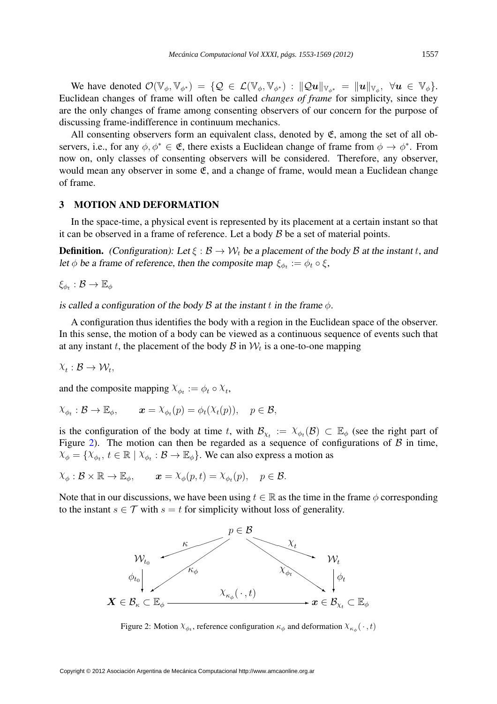We have denoted  $\mathcal{O}(\mathbb{V}_{\phi}, \mathbb{V}_{\phi^*}) = \{ \mathcal{Q} \in \mathcal{L}(\mathbb{V}_{\phi}, \mathbb{V}_{\phi^*}) : ||\mathcal{Q}u||_{\mathbb{V}_{\phi^*}} = ||u||_{\mathbb{V}_{\phi}}, \ \forall u \in \mathbb{V}_{\phi} \}.$ Euclidean changes of frame will often be called *changes of frame* for simplicity, since they are the only changes of frame among consenting observers of our concern for the purpose of discussing frame-indifference in continuum mechanics.

All consenting observers form an equivalent class, denoted by  $\mathfrak{E}$ , among the set of all observers, i.e., for any  $\phi, \phi^* \in \mathfrak{E}$ , there exists a Euclidean change of frame from  $\phi \to \phi^*$ . From now on, only classes of consenting observers will be considered. Therefore, any observer, would mean any observer in some  $\mathfrak{E}$ , and a change of frame, would mean a Euclidean change of frame.

# 3 MOTION AND DEFORMATION

In the space-time, a physical event is represented by its placement at a certain instant so that it can be observed in a frame of reference. Let a body  $\beta$  be a set of material points.

**Definition.** (Configuration): Let  $\xi : \mathcal{B} \to \mathcal{W}_t$  be a placement of the body  $\mathcal{B}$  at the instant t, and let  $\phi$  be a frame of reference, then the composite map  $\xi_{\phi_t} := \phi_t \circ \xi$ ,

 $\xi_{\phi_t} : \mathcal{B} \to \mathbb{E}_{\phi}$ 

is called a configuration of the body  $\beta$  at the instant t in the frame  $\phi$ .

A configuration thus identifies the body with a region in the Euclidean space of the observer. In this sense, the motion of a body can be viewed as a continuous sequence of events such that at any instant t, the placement of the body  $\mathcal{B}$  in  $\mathcal{W}_t$  is a one-to-one mapping

$$
\chi_t : \mathcal{B} \to \mathcal{W}_t,
$$

and the composite mapping  $X_{\phi_t} := \phi_t \circ X_t$ ,

$$
\chi_{\phi_t} : \mathcal{B} \to \mathbb{E}_{\phi}, \qquad \mathbf{x} = \chi_{\phi_t}(p) = \phi_t(\chi_t(p)), \quad p \in \mathcal{B},
$$

is the configuration of the body at time t, with  $\mathcal{B}_{\chi_t} := \chi_{\phi_t}(\mathcal{B}) \subset \mathbb{E}_{\phi}$  (see the right part of Figure [2\)](#page-4-0). The motion can then be regarded as a sequence of configurations of  $\beta$  in time,  $X_{\phi} = \{X_{\phi_t}, t \in \mathbb{R} \mid X_{\phi_t} : \mathcal{B} \to \mathbb{E}_{\phi}\}\.$  We can also express a motion as

$$
\chi_{\phi}: \mathcal{B} \times \mathbb{R} \to \mathbb{E}_{\phi}, \qquad \mathbf{x} = \chi_{\phi}(p, t) = \chi_{\phi_t}(p), \quad p \in \mathcal{B}.
$$

Note that in our discussions, we have been using  $t \in \mathbb{R}$  as the time in the frame  $\phi$  corresponding to the instant  $s \in \mathcal{T}$  with  $s = t$  for simplicity without loss of generality.



<span id="page-4-0"></span>Figure 2: Motion  $\chi_{\phi_t}$ , reference configuration  $\kappa_{\phi}$  and deformation  $\chi_{\kappa_{\phi}}(\cdot, t)$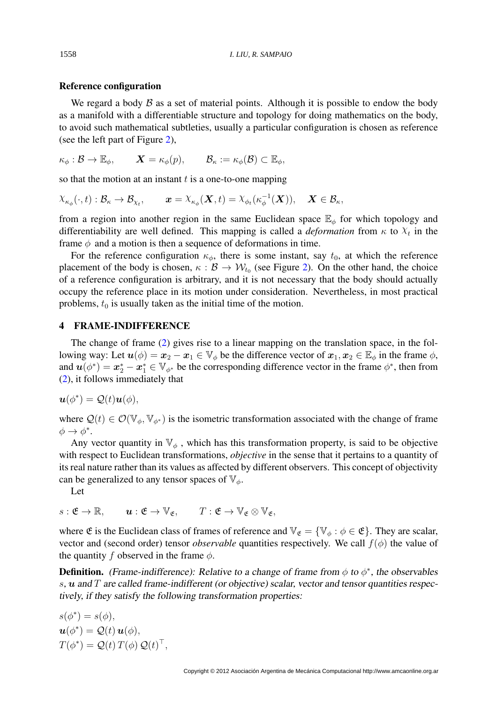#### Reference configuration

We regard a body  $\beta$  as a set of material points. Although it is possible to endow the body as a manifold with a differentiable structure and topology for doing mathematics on the body, to avoid such mathematical subtleties, usually a particular configuration is chosen as reference (see the left part of Figure [2\)](#page-4-0),

$$
\kappa_{\phi}: \mathcal{B} \to \mathbb{E}_{\phi}, \qquad \mathbf{X} = \kappa_{\phi}(p), \qquad \mathcal{B}_{\kappa} := \kappa_{\phi}(\mathcal{B}) \subset \mathbb{E}_{\phi},
$$

so that the motion at an instant  $t$  is a one-to-one mapping

$$
\chi_{\kappa_{\phi}}(\cdot,t): \mathcal{B}_{\kappa} \to \mathcal{B}_{\chi_t}, \qquad \boldsymbol{x} = \chi_{\kappa_{\phi}}(\boldsymbol{X},t) = \chi_{\phi_t}(\kappa_{\phi}^{-1}(\boldsymbol{X})), \quad \boldsymbol{X} \in \mathcal{B}_{\kappa},
$$

from a region into another region in the same Euclidean space  $\mathbb{E}_{\phi}$  for which topology and differentiability are well defined. This mapping is called a *deformation* from  $\kappa$  to  $\chi_t$  in the frame  $\phi$  and a motion is then a sequence of deformations in time.

For the reference configuration  $\kappa_{\phi}$ , there is some instant, say  $t_0$ , at which the reference placement of the body is chosen,  $\kappa : \mathcal{B} \to \mathcal{W}_{t_0}$  (see Figure [2\)](#page-4-0). On the other hand, the choice of a reference configuration is arbitrary, and it is not necessary that the body should actually occupy the reference place in its motion under consideration. Nevertheless, in most practical problems,  $t_0$  is usually taken as the initial time of the motion.

## 4 FRAME-INDIFFERENCE

The change of frame [\(2\)](#page-3-0) gives rise to a linear mapping on the translation space, in the following way: Let  $u(\phi) = x_2 - x_1 \in V_{\phi}$  be the difference vector of  $x_1, x_2 \in \mathbb{E}_{\phi}$  in the frame  $\phi$ , and  $u(\phi^*) = x_2^* - x_1^* \in V_{\phi^*}$  be the corresponding difference vector in the frame  $\phi^*$ , then from [\(2\)](#page-3-0), it follows immediately that

$$
\boldsymbol{u}(\phi^*) = \mathcal{Q}(t)\boldsymbol{u}(\phi),
$$

where  $\mathcal{Q}(t) \in \mathcal{O}(\mathbb{V}_{\phi}, \mathbb{V}_{\phi^*})$  is the isometric transformation associated with the change of frame  $\phi \to \phi^*$ .

Any vector quantity in  $\mathbb{V}_{\phi}$ , which has this transformation property, is said to be objective with respect to Euclidean transformations, *objective* in the sense that it pertains to a quantity of its real nature rather than its values as affected by different observers. This concept of objectivity can be generalized to any tensor spaces of  $\mathbb{V}_{\phi}$ .

Let

$$
s: \mathfrak{E} \to \mathbb{R}, \qquad \mathbf{u}: \mathfrak{E} \to \mathbb{V}_{\mathfrak{E}}, \qquad T: \mathfrak{E} \to \mathbb{V}_{\mathfrak{E}} \otimes \mathbb{V}_{\mathfrak{E}},
$$

where  $\mathfrak E$  is the Euclidean class of frames of reference and  $\mathbb V_{\mathfrak E} = {\mathbb V}_{\phi} : \phi \in \mathfrak E$ . They are scalar, vector and (second order) tensor *observable* quantities respectively. We call  $f(\phi)$  the value of the quantity f observed in the frame  $\phi$ .

**Definition.** (Frame-indifference): Relative to a change of frame from  $\phi$  to  $\phi^*$ , the observables s,  $u$  and  $T$  are called frame-indifferent (or objective) scalar, vector and tensor quantities respectively, if they satisfy the following transformation properties:

$$
s(\phi^*) = s(\phi),
$$
  

$$
\mathbf{u}(\phi^*) = \mathcal{Q}(t) \mathbf{u}(\phi),
$$
  

$$
T(\phi^*) = \mathcal{Q}(t) T(\phi) \mathcal{Q}(t)^\top,
$$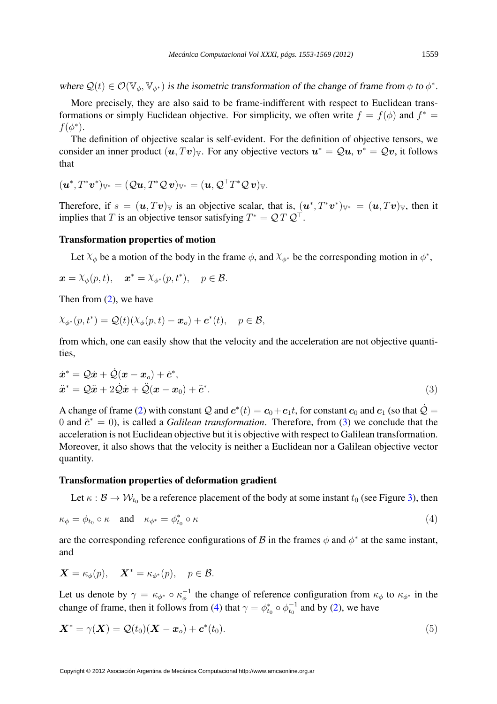where  $\mathcal{Q}(t) \in \mathcal{O}(\mathbb{V}_{\phi}, \mathbb{V}_{\phi^*})$  is the isometric transformation of the change of frame from  $\phi$  to  $\phi^*$ .

More precisely, they are also said to be frame-indifferent with respect to Euclidean transformations or simply Euclidean objective. For simplicity, we often write  $f = f(\phi)$  and  $f^* = f(\phi)$  $f(\phi^*).$ 

The definition of objective scalar is self-evident. For the definition of objective tensors, we consider an inner product  $(u, Tv)_v$ . For any objective vectors  $u^* = Qu$ ,  $v^* = Qu$ , it follows that

$$
(\boldsymbol u^*,T^*\boldsymbol v^*)_{\mathbb V^*}=(\mathcal Q\boldsymbol u,T^*\mathcal Q\,\boldsymbol v)_{\mathbb V^*}=(\boldsymbol u,\mathcal Q^\top T^*\mathcal Q\,\boldsymbol v)_{\mathbb V}.
$$

Therefore, if  $s = (\mathbf{u}, T\mathbf{v})_y$  is an objective scalar, that is,  $(\mathbf{u}^*, T^*\mathbf{v}^*)_{y^*} = (\mathbf{u}, T\mathbf{v})_y$ , then it implies that T is an objective tensor satisfying  $T^* = \mathcal{Q} T \mathcal{Q}^\top$ .

### <span id="page-6-0"></span>Transformation properties of motion

Let  $X_{\phi}$  be a motion of the body in the frame  $\phi$ , and  $X_{\phi^*}$  be the corresponding motion in  $\phi^*$ ,

$$
\boldsymbol{x} = \lambda_{\phi}(p, t), \quad \boldsymbol{x}^* = \lambda_{\phi^*}(p, t^*), \quad p \in \mathcal{B}.
$$

Then from [\(2\)](#page-3-0), we have

$$
\chi_{\phi^*}(p, t^*) = \mathcal{Q}(t)(\chi_{\phi}(p, t) - \boldsymbol{x}_o) + \boldsymbol{c}^*(t), \quad p \in \mathcal{B},
$$

from which, one can easily show that the velocity and the acceleration are not objective quantities,

$$
\begin{aligned}\n\dot{x}^* &= \mathcal{Q}\dot{x} + \dot{\mathcal{Q}}(x - x_o) + \dot{c}^*,\\ \n\ddot{x}^* &= \mathcal{Q}\ddot{x} + 2\dot{\mathcal{Q}}\dot{x} + \ddot{\mathcal{Q}}(x - x_0) + \ddot{c}^*. \n\end{aligned} \tag{3}
$$

A change of frame [\(2\)](#page-3-0) with constant  $\cal Q$  and  $\bm c^*(t) = \bm c_0 + \bm c_1 t,$  for constant  $\bm c_0$  and  $\bm c_1$  (so that  $\dot{\cal Q}$  = 0 and  $\ddot{\mathbf{c}}^* = 0$ , is called a *Galilean transformation*. Therefore, from [\(3\)](#page-6-0) we conclude that the acceleration is not Euclidean objective but it is objective with respect to Galilean transformation. Moreover, it also shows that the velocity is neither a Euclidean nor a Galilean objective vector quantity.

#### <span id="page-6-1"></span>Transformation properties of deformation gradient

Let  $\kappa : \mathcal{B} \to \mathcal{W}_{t_0}$  be a reference placement of the body at some instant  $t_0$  (see Figure [3\)](#page-7-0), then

$$
\kappa_{\phi} = \phi_{t_0} \circ \kappa \quad \text{and} \quad \kappa_{\phi^*} = \phi_{t_0}^* \circ \kappa \tag{4}
$$

are the corresponding reference configurations of  $\mathcal B$  in the frames  $\phi$  and  $\phi^*$  at the same instant, and

$$
\mathbf{X} = \kappa_{\phi}(p), \quad \mathbf{X}^* = \kappa_{\phi^*}(p), \quad p \in \mathcal{B}.
$$

Let us denote by  $\gamma = \kappa_{\phi^*} \circ \kappa_{\phi}^{-1}$  $\phi^{-1}$  the change of reference configuration from  $\kappa_{\phi}$  to  $\kappa_{\phi^*}$  in the change of frame, then it follows from [\(4\)](#page-6-1) that  $\gamma = \phi_{t_0}^* \circ \phi_{t_0}^{-1}$  and by [\(2\)](#page-3-0), we have

$$
\mathbf{X}^* = \gamma(\mathbf{X}) = \mathcal{Q}(t_0)(\mathbf{X} - \mathbf{x}_o) + \mathbf{c}^*(t_0). \tag{5}
$$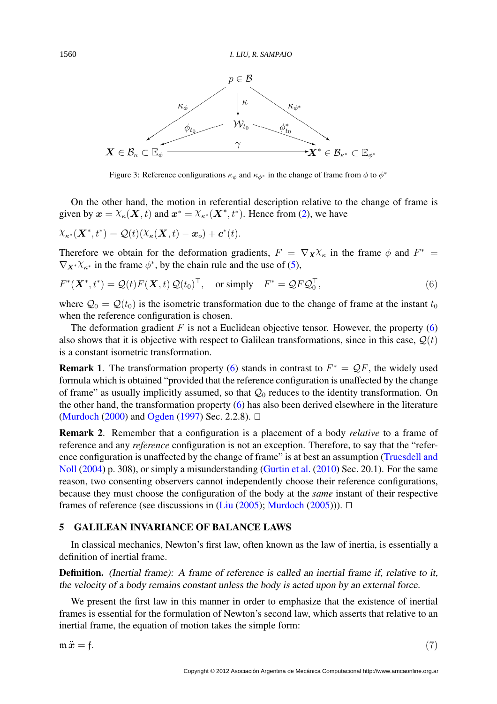

<span id="page-7-0"></span>Figure 3: Reference configurations  $\kappa_{\phi}$  and  $\kappa_{\phi^*}$  in the change of frame from  $\phi$  to  $\phi^*$ 

On the other hand, the motion in referential description relative to the change of frame is given by  $\mathbf{x} = \chi_{\kappa}(\mathbf{X}, t)$  and  $\mathbf{x}^* = \chi_{\kappa^*}(\mathbf{X}^*, t^*)$ . Hence from [\(2\)](#page-3-0), we have

$$
\chi_{\kappa^*}(\boldsymbol{X}^*,t^*) = \mathcal{Q}(t)(\chi_{\kappa}(\boldsymbol{X},t) - \boldsymbol{x}_o) + \boldsymbol{c}^*(t).
$$

Therefore we obtain for the deformation gradients,  $F = \nabla_{\mathbf{X}} \chi_{\kappa}$  in the frame  $\phi$  and  $F^* =$  $\nabla_{\mathbf{X}^*} \chi_{\kappa^*}$  in the frame  $\phi^*$ , by the chain rule and the use of [\(5\)](#page-6-1),

$$
F^*(\boldsymbol{X}^*, t^*) = \mathcal{Q}(t)F(\boldsymbol{X}, t)\,\mathcal{Q}(t_0)^\top, \quad \text{or simply} \quad F^* = \mathcal{Q}F\mathcal{Q}_0^\top,\tag{6}
$$

where  $\mathcal{Q}_0 = \mathcal{Q}(t_0)$  is the isometric transformation due to the change of frame at the instant  $t_0$ when the reference configuration is chosen.

The deformation gradient F is not a Euclidean objective tensor. However, the property  $(6)$ also shows that it is objective with respect to Galilean transformations, since in this case,  $Q(t)$ is a constant isometric transformation.

**Remark 1.** The transformation property [\(6\)](#page-7-0) stands in contrast to  $F^* = QF$ , the widely used formula which is obtained "provided that the reference configuration is unaffected by the change of frame" as usually implicitly assumed, so that  $\mathcal{Q}_0$  reduces to the identity transformation. On the other hand, the transformation property [\(6\)](#page-7-0) has also been derived elsewhere in the literature [\(Murdoch](#page-16-15) [\(2000\)](#page-16-15) and [Ogden](#page-16-16) [\(1997\)](#page-16-16) Sec. 2.2.8).  $\Box$ 

Remark 2. Remember that a configuration is a placement of a body *relative* to a frame of reference and any *reference* configuration is not an exception. Therefore, to say that the "reference configuration is unaffected by the change of frame" is at best an assumption [\(Truesdell and](#page-16-5) [Noll](#page-16-5) [\(2004\)](#page-16-5) p. 308), or simply a misunderstanding [\(Gurtin et al.](#page-16-7) [\(2010\)](#page-16-7) Sec. 20.1). For the same reason, two consenting observers cannot independently choose their reference configurations, because they must choose the configuration of the body at the *same* instant of their respective frames of reference (see discussions in [\(Liu](#page-16-17) [\(2005\)](#page-16-9); [Murdoch](#page-16-9) (2005)).  $\Box$ 

### <span id="page-7-1"></span>5 GALILEAN INVARIANCE OF BALANCE LAWS

In classical mechanics, Newton's first law, often known as the law of inertia, is essentially a definition of inertial frame.

Definition. (Inertial frame): A frame of reference is called an inertial frame if, relative to it, the velocity of a body remains constant unless the body is acted upon by an external force.

We present the first law in this manner in order to emphasize that the existence of inertial frames is essential for the formulation of Newton's second law, which asserts that relative to an inertial frame, the equation of motion takes the simple form:

 $m\ddot{x} = f.$  (7)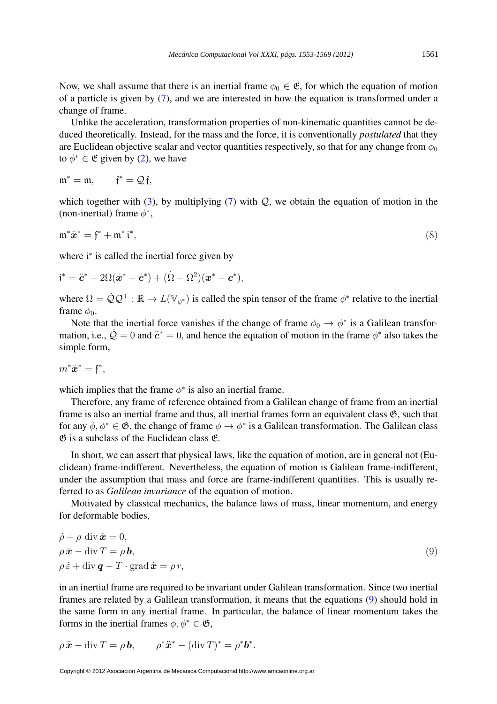Now, we shall assume that there is an inertial frame  $\phi_0 \in \mathfrak{E}$ , for which the equation of motion of a particle is given by [\(7\)](#page-7-1), and we are interested in how the equation is transformed under a change of frame.

Unlike the acceleration, transformation properties of non-kinematic quantities cannot be deduced theoretically. Instead, for the mass and the force, it is conventionally *postulated* that they are Euclidean objective scalar and vector quantities respectively, so that for any change from  $\phi_0$ to  $\phi^* \in \mathfrak{E}$  given by [\(2\)](#page-3-0), we have

$$
\mathfrak{m}^* = \mathfrak{m}, \qquad \mathfrak{f}^* = \mathcal{Q}\mathfrak{f},
$$

which together with [\(3\)](#page-6-0), by multiplying [\(7\)](#page-7-1) with  $Q$ , we obtain the equation of motion in the (non-inertial) frame  $\phi^*$ ,

$$
\mathfrak{m}^*\ddot{x}^* = \mathfrak{f}^* + \mathfrak{m}^*\mathfrak{i}^*,\tag{8}
$$

where *i*<sup>\*</sup> is called the inertial force given by

$$
\dot{\mathbf{i}}^* = \ddot{\mathbf{c}}^* + 2\Omega(\dot{\mathbf{x}}^* - \dot{\mathbf{c}}^*) + (\dot{\Omega} - \Omega^2)(\mathbf{x}^* - \mathbf{c}^*),
$$

where  $\Omega = \dot{Q} Q^{\top} : \mathbb{R} \to L(\mathbb{V}_{\phi^*})$  is called the spin tensor of the frame  $\phi^*$  relative to the inertial frame  $\phi_0$ .

Note that the inertial force vanishes if the change of frame  $\phi_0 \to \phi^*$  is a Galilean transformation, i.e.,  $\dot{Q} = 0$  and  $\ddot{c}^* = 0$ , and hence the equation of motion in the frame  $\phi^*$  also takes the simple form,

$$
m^*\ddot{x}^* = \mathfrak{f}^*,
$$

which implies that the frame  $\phi^*$  is also an inertial frame.

Therefore, any frame of reference obtained from a Galilean change of frame from an inertial frame is also an inertial frame and thus, all inertial frames form an equivalent class  $\mathfrak{G}$ , such that for any  $\phi, \phi^* \in \mathfrak{G}$ , the change of frame  $\phi \to \phi^*$  is a Galilean transformation. The Galilean class  $\mathfrak{G}$  is a subclass of the Euclidean class  $\mathfrak{E}$ .

In short, we can assert that physical laws, like the equation of motion, are in general not (Euclidean) frame-indifferent. Nevertheless, the equation of motion is Galilean frame-indifferent, under the assumption that mass and force are frame-indifferent quantities. This is usually referred to as *Galilean invariance* of the equation of motion.

Motivated by classical mechanics, the balance laws of mass, linear momentum, and energy for deformable bodies,

$$
\dot{\rho} + \rho \operatorname{div} \dot{\mathbf{x}} = 0,\n\rho \ddot{\mathbf{x}} - \operatorname{div} T = \rho \mathbf{b},\n\rho \dot{\varepsilon} + \operatorname{div} \mathbf{q} - T \cdot \operatorname{grad} \dot{\mathbf{x}} = \rho r,
$$
\n(9)

in an inertial frame are required to be invariant under Galilean transformation. Since two inertial frames are related by a Galilean transformation, it means that the equations [\(9\)](#page-7-1) should hold in the same form in any inertial frame. In particular, the balance of linear momentum takes the forms in the inertial frames  $\phi, \phi^* \in \mathfrak{G}$ ,

$$
\rho \ddot{\mathbf{x}} - \operatorname{div} T = \rho \mathbf{b}, \qquad \rho^* \ddot{\mathbf{x}}^* - (\operatorname{div} T)^* = \rho^* \mathbf{b}^*.
$$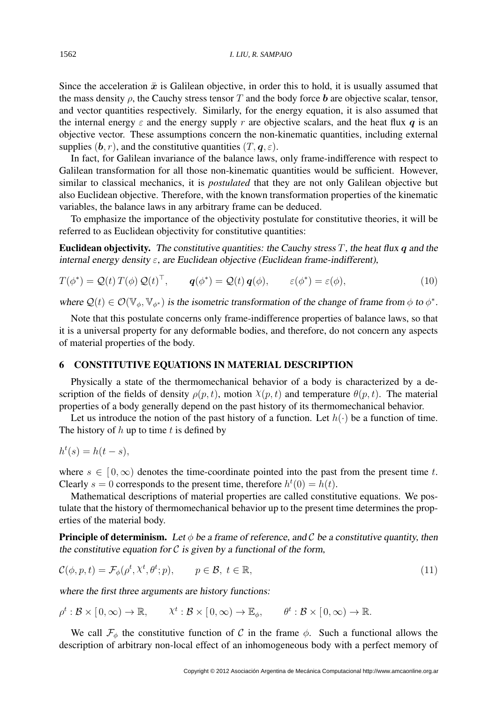Since the acceleration  $\ddot{x}$  is Galilean objective, in order this to hold, it is usually assumed that the mass density  $\rho$ , the Cauchy stress tensor T and the body force b are objective scalar, tensor, and vector quantities respectively. Similarly, for the energy equation, it is also assumed that the internal energy  $\varepsilon$  and the energy supply r are objective scalars, and the heat flux q is an objective vector. These assumptions concern the non-kinematic quantities, including external supplies  $(b, r)$ , and the constitutive quantities  $(T, \mathbf{q}, \varepsilon)$ .

In fact, for Galilean invariance of the balance laws, only frame-indifference with respect to Galilean transformation for all those non-kinematic quantities would be sufficient. However, similar to classical mechanics, it is *postulated* that they are not only Galilean objective but also Euclidean objective. Therefore, with the known transformation properties of the kinematic variables, the balance laws in any arbitrary frame can be deduced.

To emphasize the importance of the objectivity postulate for constitutive theories, it will be referred to as Euclidean objectivity for constitutive quantities:

**Euclidean objectivity.** The constitutive quantities: the Cauchy stress  $T$ , the heat flux q and the internal energy density  $\varepsilon$ , are Euclidean objective (Euclidean frame-indifferent),

$$
T(\phi^*) = \mathcal{Q}(t) T(\phi) \mathcal{Q}(t)^{\top}, \qquad \mathbf{q}(\phi^*) = \mathcal{Q}(t) \mathbf{q}(\phi), \qquad \varepsilon(\phi^*) = \varepsilon(\phi), \tag{10}
$$

where  $\mathcal{Q}(t) \in \mathcal{O}(\mathbb{V}_{\phi}, \mathbb{V}_{\phi^*})$  is the isometric transformation of the change of frame from  $\phi$  to  $\phi^*$ .

Note that this postulate concerns only frame-indifference properties of balance laws, so that it is a universal property for any deformable bodies, and therefore, do not concern any aspects of material properties of the body.

# <span id="page-9-0"></span>6 CONSTITUTIVE EQUATIONS IN MATERIAL DESCRIPTION

Physically a state of the thermomechanical behavior of a body is characterized by a description of the fields of density  $\rho(p, t)$ , motion  $\chi(p, t)$  and temperature  $\theta(p, t)$ . The material properties of a body generally depend on the past history of its thermomechanical behavior.

Let us introduce the notion of the past history of a function. Let  $h(\cdot)$  be a function of time. The history of  $h$  up to time  $t$  is defined by

$$
h^t(s) = h(t - s),
$$

where  $s \in [0,\infty)$  denotes the time-coordinate pointed into the past from the present time t. Clearly  $s = 0$  corresponds to the present time, therefore  $h^t(0) = h(t)$ .

Mathematical descriptions of material properties are called constitutive equations. We postulate that the history of thermomechanical behavior up to the present time determines the properties of the material body.

**Principle of determinism.** Let  $\phi$  be a frame of reference, and C be a constitutive quantity, then the constitutive equation for  $\mathcal C$  is given by a functional of the form,

$$
\mathcal{C}(\phi, p, t) = \mathcal{F}_{\phi}(\rho^t, \lambda^t, \theta^t; p), \qquad p \in \mathcal{B}, \ t \in \mathbb{R}, \tag{11}
$$

where the first three arguments are history functions:

 $\rho^t : \mathcal{B} \times [0, \infty) \to \mathbb{R}, \qquad \chi^t : \mathcal{B} \times [0, \infty) \to \mathbb{E}_{\phi}, \qquad \theta^t : \mathcal{B} \times [0, \infty) \to \mathbb{R}.$ 

We call  $\mathcal{F}_{\phi}$  the constitutive function of C in the frame  $\phi$ . Such a functional allows the description of arbitrary non-local effect of an inhomogeneous body with a perfect memory of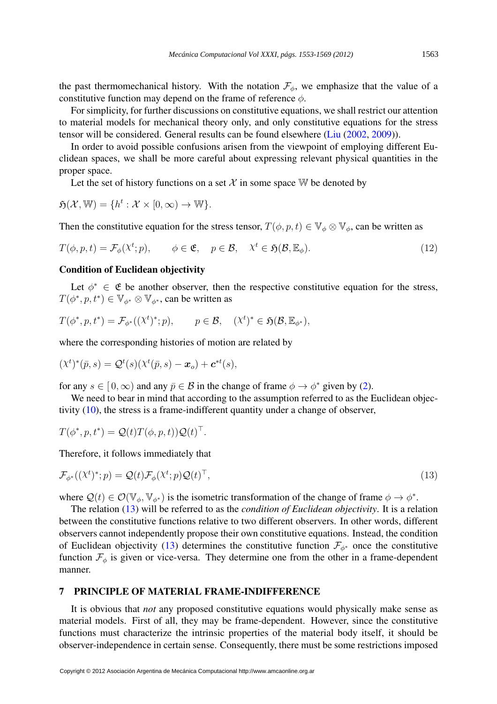the past thermomechanical history. With the notation  $\mathcal{F}_{\phi}$ , we emphasize that the value of a constitutive function may depend on the frame of reference  $\phi$ .

For simplicity, for further discussions on constitutive equations, we shall restrict our attention to material models for mechanical theory only, and only constitutive equations for the stress tensor will be considered. General results can be found elsewhere [\(Liu](#page-16-18) [\(2002,](#page-16-18) [2009\)](#page-16-19)).

In order to avoid possible confusions arisen from the viewpoint of employing different Euclidean spaces, we shall be more careful about expressing relevant physical quantities in the proper space.

Let the set of history functions on a set X in some space W be denoted by

$$
\mathfrak{H}(\mathcal{X}, \mathbb{W}) = \{ h^t : \mathcal{X} \times [0, \infty) \to \mathbb{W} \}.
$$

Then the constitutive equation for the stress tensor,  $T(\phi, p, t) \in V_{\phi} \otimes V_{\phi}$ , can be written as

$$
T(\phi, p, t) = \mathcal{F}_{\phi}(\chi^{t}; p), \qquad \phi \in \mathfrak{E}, \quad p \in \mathcal{B}, \quad \chi^{t} \in \mathfrak{H}(\mathcal{B}, \mathbb{E}_{\phi}). \tag{12}
$$

### <span id="page-10-0"></span>Condition of Euclidean objectivity

Let  $\phi^* \in \mathfrak{E}$  be another observer, then the respective constitutive equation for the stress,  $T(\phi^*, p, t^*) \in \mathbb{V}_{\phi^*} \otimes \mathbb{V}_{\phi^*}$ , can be written as

$$
T(\phi^*, p, t^*) = \mathcal{F}_{\phi^*}((\chi^t)^*; p), \qquad p \in \mathcal{B}, \quad (\chi^t)^* \in \mathfrak{H}(\mathcal{B}, \mathbb{E}_{\phi^*}),
$$

where the corresponding histories of motion are related by

$$
(\chi^t)^*(\bar{p},s) = \mathcal{Q}^t(s)(\chi^t(\bar{p},s) - \boldsymbol{x}_o) + \boldsymbol{c}^{*t}(s),
$$

for any  $s \in [0, \infty)$  and any  $\bar{p} \in \mathcal{B}$  in the change of frame  $\phi \to \phi^*$  given by [\(2\)](#page-3-0).

We need to bear in mind that according to the assumption referred to as the Euclidean objectivity [\(10\)](#page-7-1), the stress is a frame-indifferent quantity under a change of observer,

$$
T(\phi^*, p, t^*) = \mathcal{Q}(t)T(\phi, p, t))\mathcal{Q}(t)^{\top}.
$$

Therefore, it follows immediately that

$$
\mathcal{F}_{\phi^*}((\chi^t)^*; p) = \mathcal{Q}(t)\mathcal{F}_{\phi}(\chi^t; p)\mathcal{Q}(t)^{\top},\tag{13}
$$

where  $\mathcal{Q}(t) \in \mathcal{O}(\mathbb{V}_{\phi}, \mathbb{V}_{\phi^*})$  is the isometric transformation of the change of frame  $\phi \to \phi^*$ .

The relation [\(13\)](#page-10-0) will be referred to as the *condition of Euclidean objectivity*. It is a relation between the constitutive functions relative to two different observers. In other words, different observers cannot independently propose their own constitutive equations. Instead, the condition of Euclidean objectivity [\(13\)](#page-10-0) determines the constitutive function  $\mathcal{F}_{\phi^*}$  once the constitutive function  $\mathcal{F}_{\phi}$  is given or vice-versa. They determine one from the other in a frame-dependent manner.

#### <span id="page-10-1"></span>7 PRINCIPLE OF MATERIAL FRAME-INDIFFERENCE

It is obvious that *not* any proposed constitutive equations would physically make sense as material models. First of all, they may be frame-dependent. However, since the constitutive functions must characterize the intrinsic properties of the material body itself, it should be observer-independence in certain sense. Consequently, there must be some restrictions imposed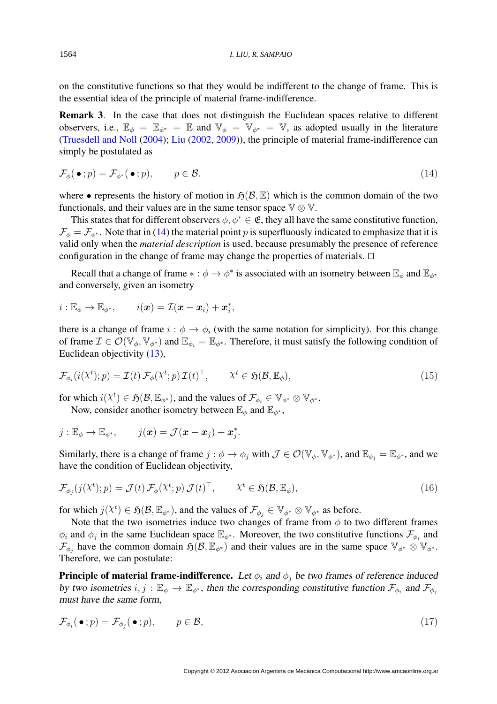on the constitutive functions so that they would be indifferent to the change of frame. This is the essential idea of the principle of material frame-indifference.

Remark 3. In the case that does not distinguish the Euclidean spaces relative to different observers, i.e.,  $\mathbb{E}_{\phi} = \mathbb{E}_{\phi^*} = \mathbb{E}$  and  $\mathbb{V}_{\phi} = \mathbb{V}_{\phi^*} = \mathbb{V}$ , as adopted usually in the literature [\(Truesdell and Noll](#page-16-5) [\(2004\)](#page-16-5); [Liu](#page-16-18) [\(2002,](#page-16-18) [2009\)](#page-16-19)), the principle of material frame-indifference can simply be postulated as

$$
\mathcal{F}_{\phi}(\bullet; p) = \mathcal{F}_{\phi^*}(\bullet; p), \qquad p \in \mathcal{B}.\tag{14}
$$

where • represents the history of motion in  $\mathfrak{H}(\mathcal{B}, \mathbb{E})$  which is the common domain of the two functionals, and their values are in the same tensor space  $\mathbb{V} \otimes \mathbb{V}$ .

This states that for different observers  $\phi, \phi^* \in \mathfrak{E}$ , they all have the same constitutive function,  $\mathcal{F}_{\phi} = \mathcal{F}_{\phi^*}$ . Note that in [\(14\)](#page-10-1) the material point p is superfluously indicated to emphasize that it is valid only when the *material description* is used, because presumably the presence of reference configuration in the change of frame may change the properties of materials.  $\Box$ 

Recall that a change of frame  $* : \phi \to \phi^*$  is associated with an isometry between  $\mathbb{E}_{\phi}$  and  $\mathbb{E}_{\phi^*}$ and conversely, given an isometry

$$
i:\mathbb{E}_{\phi}\rightarrow\mathbb{E}_{\phi^*},\qquad i(\boldsymbol{x})=\mathcal{I}(\boldsymbol{x}-\boldsymbol{x}_i)+\boldsymbol{x}_i^*,
$$

there is a change of frame  $i : \phi \to \phi_i$  (with the same notation for simplicity). For this change of frame  $\mathcal{I} \in \mathcal{O}(\mathbb{V}_{\phi}, \mathbb{V}_{\phi^*})$  and  $\mathbb{E}_{\phi_i} = \mathbb{E}_{\phi^*}$ . Therefore, it must satisfy the following condition of Euclidean objectivity [\(13\)](#page-10-0),

$$
\mathcal{F}_{\phi_i}(i(\mathcal{X}^t); p) = \mathcal{I}(t) \mathcal{F}_{\phi}(\mathcal{X}^t; p) \mathcal{I}(t)^\top, \qquad \mathcal{X}^t \in \mathfrak{H}(\mathcal{B}, \mathbb{E}_{\phi}), \tag{15}
$$

for which  $i(\chi^t) \in \mathfrak{H}(\mathcal{B}, \mathbb{E}_{\phi^*})$ , and the values of  $\mathcal{F}_{\phi_i} \in \mathbb{V}_{\phi^*} \otimes \mathbb{V}_{\phi^*}$ .

Now, consider another isometry between  $\mathbb{E}_{\phi}$  and  $\mathbb{E}_{\phi^*}$ ,

$$
j:\mathbb{E}_{\phi}\to\mathbb{E}_{\phi^*},\qquad j(\boldsymbol{x})=\mathcal{J}(\boldsymbol{x}-\boldsymbol{x}_j)+\boldsymbol{x}_j^*.
$$

Similarly, there is a change of frame  $j : \phi \to \phi_j$  with  $\mathcal{J} \in \mathcal{O}(\mathbb{V}_{\phi}, \mathbb{V}_{\phi^*})$ , and  $\mathbb{E}_{\phi_i} = \mathbb{E}_{\phi^*}$ , and we have the condition of Euclidean objectivity,

$$
\mathcal{F}_{\phi_j}(j(\lambda^t);p) = \mathcal{J}(t) \,\mathcal{F}_{\phi}(\lambda^t;p) \,\mathcal{J}(t)^{\top}, \qquad \lambda^t \in \mathfrak{H}(\mathcal{B}, \mathbb{E}_{\phi}), \tag{16}
$$

for which  $j(\chi^t) \in \mathfrak{H}(\mathcal{B}, \mathbb{E}_{\phi^*})$ , and the values of  $\mathcal{F}_{\phi_j} \in \mathbb{V}_{\phi^*} \otimes \mathbb{V}_{\phi^*}$  as before.

Note that the two isometries induce two changes of frame from  $\phi$  to two different frames  $\phi_i$  and  $\phi_j$  in the same Euclidean space  $\mathbb{E}_{\phi^*}$ . Moreover, the two constitutive functions  $\mathcal{F}_{\phi_i}$  and  $\mathcal{F}_{\phi_j}$  have the common domain  $\mathfrak{H}(\mathcal{B}, \mathbb{E}_{\phi^*})$  and their values are in the same space  $\mathbb{V}_{\phi^*} \otimes \mathbb{V}_{\phi^*}$ . Therefore, we can postulate:

**Principle of material frame-indifference.** Let  $\phi_i$  and  $\phi_j$  be two frames of reference induced by two isometries  $i, j : \mathbb{E}_{\phi} \to \mathbb{E}_{\phi^*}$ , then the corresponding constitutive function  $\mathcal{F}_{\phi_i}$  and  $\mathcal{F}_{\phi_j}$ must have the same form,

$$
\mathcal{F}_{\phi_i}(\bullet; p) = \mathcal{F}_{\phi_j}(\bullet; p), \qquad p \in \mathcal{B}, \tag{17}
$$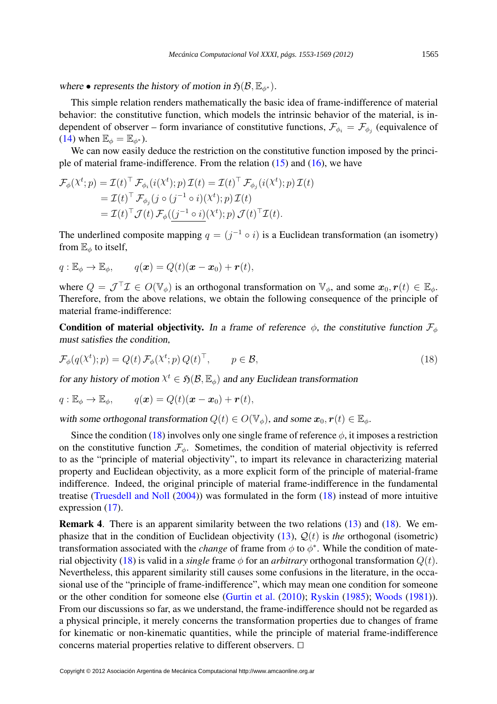where • represents the history of motion in  $\mathfrak{H}(\mathcal{B}, \mathbb{E}_{\phi^*})$ .

This simple relation renders mathematically the basic idea of frame-indifference of material behavior: the constitutive function, which models the intrinsic behavior of the material, is independent of observer – form invariance of constitutive functions,  $\mathcal{F}_{\phi_i} = \mathcal{F}_{\phi_j}$  (equivalence of [\(14\)](#page-10-1) when  $\mathbb{E}_{\phi} = \mathbb{E}_{\phi^*}$ ).

We can now easily deduce the restriction on the constitutive function imposed by the principle of material frame-indifference. From the relation  $(15)$  and  $(16)$ , we have

$$
\mathcal{F}_{\phi}(\chi^{t}; p) = \mathcal{I}(t)^{\top} \mathcal{F}_{\phi_{i}}(i(\chi^{t}); p) \mathcal{I}(t) = \mathcal{I}(t)^{\top} \mathcal{F}_{\phi_{j}}(i(\chi^{t}); p) \mathcal{I}(t)
$$
\n
$$
= \mathcal{I}(t)^{\top} \mathcal{F}_{\phi_{j}}(j \circ (j^{-1} \circ i)(\chi^{t}); p) \mathcal{I}(t)
$$
\n
$$
= \mathcal{I}(t)^{\top} \mathcal{J}(t) \mathcal{F}_{\phi}((j^{-1} \circ i)(\chi^{t}); p) \mathcal{J}(t)^{\top} \mathcal{I}(t).
$$

The underlined composite mapping  $q = (j^{-1} \circ i)$  is a Euclidean transformation (an isometry) from  $\mathbb{E}_{\phi}$  to itself,

$$
q: \mathbb{E}_{\phi} \to \mathbb{E}_{\phi}, \qquad q(\boldsymbol{x}) = Q(t)(\boldsymbol{x} - \boldsymbol{x}_0) + \boldsymbol{r}(t),
$$

where  $Q = \mathcal{J}^\top \mathcal{I} \in O(\mathbb{V}_{\phi})$  is an orthogonal transformation on  $\mathbb{V}_{\phi}$ , and some  $\mathbf{x}_0, \mathbf{r}(t) \in \mathbb{E}_{\phi}$ . Therefore, from the above relations, we obtain the following consequence of the principle of material frame-indifference:

Condition of material objectivity. In a frame of reference  $\phi$ , the constitutive function  $\mathcal{F}_{\phi}$ must satisfies the condition,

$$
\mathcal{F}_{\phi}(q(\lambda^{t}); p) = Q(t) \mathcal{F}_{\phi}(\lambda^{t}; p) Q(t)^{\top}, \qquad p \in \mathcal{B}, \tag{18}
$$

for any history of motion  $X^t \in \mathfrak{H}(\mathcal{B}, \mathbb{E}_{\phi})$  and any Euclidean transformation

$$
q: \mathbb{E}_{\phi} \to \mathbb{E}_{\phi}, \qquad q(\boldsymbol{x}) = Q(t)(\boldsymbol{x} - \boldsymbol{x}_0) + \boldsymbol{r}(t),
$$

with some orthogonal transformation  $Q(t) \in O(\mathbb{V}_\phi)$ , and some  $\mathbf{x}_0, \mathbf{r}(t) \in \mathbb{E}_\phi$ .

Since the condition [\(18\)](#page-10-1) involves only one single frame of reference  $\phi$ , it imposes a restriction on the constitutive function  $\mathcal{F}_{\phi}$ . Sometimes, the condition of material objectivity is referred to as the "principle of material objectivity", to impart its relevance in characterizing material property and Euclidean objectivity, as a more explicit form of the principle of material-frame indifference. Indeed, the original principle of material frame-indifference in the fundamental treatise [\(Truesdell and Noll](#page-16-5) [\(2004\)](#page-16-5)) was formulated in the form [\(18\)](#page-10-1) instead of more intuitive expression [\(17\)](#page-10-1).

Remark 4. There is an apparent similarity between the two relations [\(13\)](#page-10-0) and [\(18\)](#page-10-1). We emphasize that in the condition of Euclidean objectivity  $(13)$ ,  $\mathcal{Q}(t)$  is *the* orthogonal (isometric) transformation associated with the *change* of frame from  $\phi$  to  $\phi^*$ . While the condition of mate-rial objectivity [\(18\)](#page-10-1) is valid in a *single* frame  $\phi$  for an *arbitrary* orthogonal transformation  $Q(t)$ . Nevertheless, this apparent similarity still causes some confusions in the literature, in the occasional use of the "principle of frame-indifference", which may mean one condition for someone or the other condition for someone else [\(Gurtin et al.](#page-16-7) [\(2010\)](#page-16-7); [Ryskin](#page-16-12) [\(1985\)](#page-16-12); [Woods](#page-16-13) [\(1981\)](#page-16-13)). From our discussions so far, as we understand, the frame-indifference should not be regarded as a physical principle, it merely concerns the transformation properties due to changes of frame for kinematic or non-kinematic quantities, while the principle of material frame-indifference concerns material properties relative to different observers.  $\Box$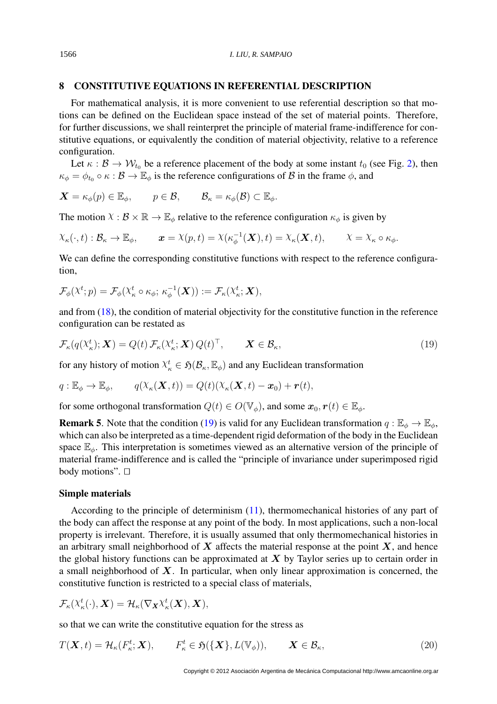# <span id="page-13-0"></span>8 CONSTITUTIVE EQUATIONS IN REFERENTIAL DESCRIPTION

For mathematical analysis, it is more convenient to use referential description so that motions can be defined on the Euclidean space instead of the set of material points. Therefore, for further discussions, we shall reinterpret the principle of material frame-indifference for constitutive equations, or equivalently the condition of material objectivity, relative to a reference configuration.

Let  $\kappa : \mathcal{B} \to \mathcal{W}_{t_0}$  be a reference placement of the body at some instant  $t_0$  (see Fig. [2\)](#page-4-0), then  $\kappa_{\phi} = \phi_{t_0} \circ \kappa : \mathcal{B} \to \mathbb{E}_{\phi}$  is the reference configurations of  $\mathcal{B}$  in the frame  $\phi$ , and

$$
\mathbf{X} = \kappa_{\phi}(p) \in \mathbb{E}_{\phi}, \qquad p \in \mathcal{B}, \qquad \mathcal{B}_{\kappa} = \kappa_{\phi}(\mathcal{B}) \subset \mathbb{E}_{\phi}.
$$

The motion  $X : \mathcal{B} \times \mathbb{R} \to \mathbb{E}_{\phi}$  relative to the reference configuration  $\kappa_{\phi}$  is given by

$$
\chi_{\kappa}(\cdot,t): \mathcal{B}_{\kappa} \to \mathbb{E}_{\phi}, \qquad \mathbf{x} = \chi(p,t) = \chi(\kappa_{\phi}^{-1}(\mathbf{X}),t) = \chi_{\kappa}(\mathbf{X},t), \qquad \chi = \chi_{\kappa} \circ \kappa_{\phi}.
$$

We can define the corresponding constitutive functions with respect to the reference configuration,

$$
\mathcal{F}_{\phi}(\mathcal{X}^t; p) = \mathcal{F}_{\phi}(\mathcal{X}^t_{\kappa} \circ \kappa_{\phi}; \kappa_{\phi}^{-1}(\boldsymbol{X})) := \mathcal{F}_{\kappa}(\mathcal{X}^t_{\kappa}; \boldsymbol{X}),
$$

and from  $(18)$ , the condition of material objectivity for the constitutive function in the reference configuration can be restated as

$$
\mathcal{F}_{\kappa}(q(\mathcal{X}_{\kappa}^{t}); \mathbf{X}) = Q(t) \mathcal{F}_{\kappa}(\mathcal{X}_{\kappa}^{t}; \mathbf{X}) Q(t)^{\top}, \qquad \mathbf{X} \in \mathcal{B}_{\kappa}, \tag{19}
$$

for any history of motion  $X^t_\kappa \in \mathfrak{H}(\mathcal{B}_\kappa, \mathbb{E}_\phi)$  and any Euclidean transformation

$$
q: \mathbb{E}_{\phi} \to \mathbb{E}_{\phi}, \qquad q(\mathcal{X}_{\kappa}(\boldsymbol{X},t)) = Q(t)(\mathcal{X}_{\kappa}(\boldsymbol{X},t) - \boldsymbol{x}_0) + \boldsymbol{r}(t),
$$

for some orthogonal transformation  $Q(t) \in O(\mathbb{V}_{\phi})$ , and some  $\mathbf{x}_0, \mathbf{r}(t) \in \mathbb{E}_{\phi}$ .

**Remark 5.** Note that the condition [\(19\)](#page-13-0) is valid for any Euclidean transformation  $q : \mathbb{E}_{\phi} \to \mathbb{E}_{\phi}$ , which can also be interpreted as a time-dependent rigid deformation of the body in the Euclidean space  $\mathbb{E}_{\phi}$ . This interpretation is sometimes viewed as an alternative version of the principle of material frame-indifference and is called the "principle of invariance under superimposed rigid body motions".  $\Box$ 

### <span id="page-13-1"></span>Simple materials

According to the principle of determinism [\(11\)](#page-9-0), thermomechanical histories of any part of the body can affect the response at any point of the body. In most applications, such a non-local property is irrelevant. Therefore, it is usually assumed that only thermomechanical histories in an arbitrary small neighborhood of  $X$  affects the material response at the point  $X$ , and hence the global history functions can be approximated at  $X$  by Taylor series up to certain order in a small neighborhood of  $X$ . In particular, when only linear approximation is concerned, the constitutive function is restricted to a special class of materials,

$$
\mathcal{F}_{\kappa}(\mathbf{X}^t_{\kappa}(\cdot), \mathbf{X}) = \mathcal{H}_{\kappa}(\nabla_{\mathbf{X}} \mathbf{X}^t_{\kappa}(\mathbf{X}), \mathbf{X}),
$$

so that we can write the constitutive equation for the stress as

$$
T(\mathbf{X},t) = \mathcal{H}_{\kappa}(F_{\kappa}^t;\mathbf{X}), \qquad F_{\kappa}^t \in \mathfrak{H}(\{\mathbf{X}\},L(\mathbb{V}_{\phi})), \qquad \mathbf{X} \in \mathcal{B}_{\kappa},
$$
\n(20)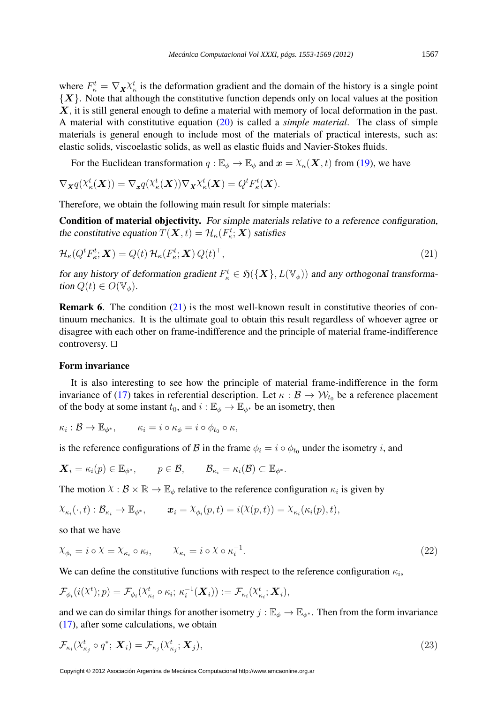where  $F_{\kappa}^t = \nabla_{\mathbf{X}} \chi_{\kappa}^t$  is the deformation gradient and the domain of the history is a single point  ${X}$ . Note that although the constitutive function depends only on local values at the position  $X$ , it is still general enough to define a material with memory of local deformation in the past. A material with constitutive equation [\(20\)](#page-13-1) is called a *simple material*. The class of simple materials is general enough to include most of the materials of practical interests, such as: elastic solids, viscoelastic solids, as well as elastic fluids and Navier-Stokes fluids.

For the Euclidean transformation  $q : \mathbb{E}_{\phi} \to \mathbb{E}_{\phi}$  and  $x = \chi_{\kappa}(\mathbf{X}, t)$  from [\(19\)](#page-13-0), we have

$$
\nabla_{\mathbf{X}} q(\mathbf{X}_{\kappa}^t(\mathbf{X})) = \nabla_{\mathbf{x}} q(\mathbf{X}_{\kappa}^t(\mathbf{X})) \nabla_{\mathbf{X}} \mathbf{X}_{\kappa}^t(\mathbf{X}) = Q^t F_{\kappa}^t(\mathbf{X}).
$$

Therefore, we obtain the following main result for simple materials:

Condition of material objectivity. For simple materials relative to a reference configuration, the constitutive equation  $T(\boldsymbol{X}, t) = \mathcal{H}_{\kappa}(F^t_{\kappa}; \boldsymbol{X})$  satisfies

$$
\mathcal{H}_{\kappa}(Q^{t}F_{\kappa}^{t};\boldsymbol{X})=Q(t)\,\mathcal{H}_{\kappa}(F_{\kappa}^{t};\boldsymbol{X})\,Q(t)^{\top},\tag{21}
$$

for any history of deformation gradient  $F_{\kappa}^t \in \mathfrak{H}(\{X\}, L(\mathbb{V}_\phi))$  and any orthogonal transformation  $Q(t) \in O(\mathbb{V}_{\phi})$ .

Remark 6. The condition [\(21\)](#page-13-1) is the most well-known result in constitutive theories of continuum mechanics. It is the ultimate goal to obtain this result regardless of whoever agree or disagree with each other on frame-indifference and the principle of material frame-indifference controversy.  $\Box$ 

#### <span id="page-14-0"></span>Form invariance

It is also interesting to see how the principle of material frame-indifference in the form invariance of [\(17\)](#page-10-1) takes in referential description. Let  $\kappa : \mathcal{B} \to \mathcal{W}_{t_0}$  be a reference placement of the body at some instant  $t_0$ , and  $i : \mathbb{E}_{\phi} \to \mathbb{E}_{\phi^*}$  be an isometry, then

$$
\kappa_i : \mathcal{B} \to \mathbb{E}_{\phi^*}, \qquad \kappa_i = i \circ \kappa_\phi = i \circ \phi_{t_0} \circ \kappa,
$$

is the reference configurations of B in the frame  $\phi_i = i \circ \phi_{t_0}$  under the isometry i, and

$$
\mathbf{X}_i = \kappa_i(p) \in \mathbb{E}_{\phi^*}, \qquad p \in \mathcal{B}, \qquad \mathcal{B}_{\kappa_i} = \kappa_i(\mathcal{B}) \subset \mathbb{E}_{\phi^*}.
$$

The motion  $\chi : \mathcal{B} \times \mathbb{R} \to \mathbb{E}_{\phi}$  relative to the reference configuration  $\kappa_i$  is given by

$$
\chi_{\kappa_i}(\cdot,t): \mathcal{B}_{\kappa_i} \to \mathbb{E}_{\phi^*}, \qquad \boldsymbol{x}_i = \chi_{\phi_i}(p,t) = i(\chi(p,t)) = \chi_{\kappa_i}(\kappa_i(p),t),
$$

so that we have

$$
\chi_{\phi_i} = i \circ \chi = \chi_{\kappa_i} \circ \kappa_i, \qquad \chi_{\kappa_i} = i \circ \chi \circ \kappa_i^{-1}.
$$
\n
$$
(22)
$$

We can define the constitutive functions with respect to the reference configuration  $\kappa_i$ ,

$$
\mathcal{F}_{\phi_i}(i(\lambda^t);p) = \mathcal{F}_{\phi_i}(\lambda^t_{\kappa_i} \circ \kappa_i; \, \kappa_i^{-1}(\boldsymbol{X}_i)) := \mathcal{F}_{\kappa_i}(\lambda^t_{\kappa_i}; \boldsymbol{X}_i),
$$

and we can do similar things for another isometry  $j : \mathbb{E}_{\phi} \to \mathbb{E}_{\phi^*}$ . Then from the form invariance [\(17\)](#page-10-1), after some calculations, we obtain

$$
\mathcal{F}_{\kappa_i}(\chi_{\kappa_j}^t \circ q^*; \mathbf{X}_i) = \mathcal{F}_{\kappa_j}(\chi_{\kappa_j}^t; \mathbf{X}_j), \tag{23}
$$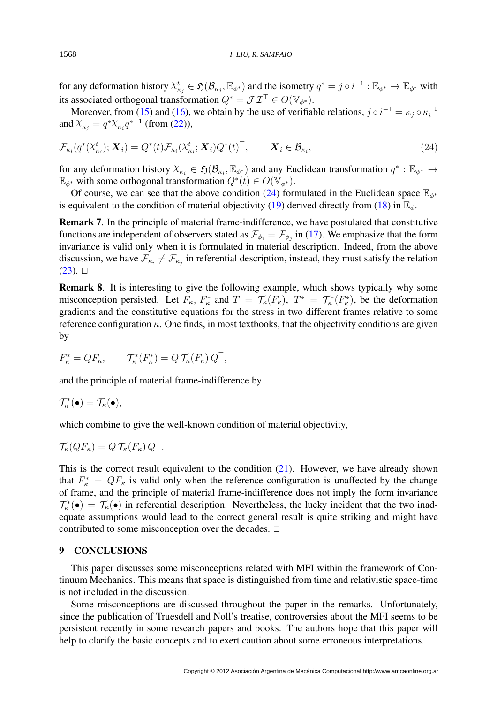for any deformation history  $\chi_{\kappa_j}^t \in \mathfrak{H}(\mathcal{B}_{\kappa_j}, \mathbb{E}_{\phi^*})$  and the isometry  $q^* = j \circ i^{-1} : \mathbb{E}_{\phi^*} \to \mathbb{E}_{\phi^*}$  with its associated orthogonal transformation  $Q^* = \mathcal{J} \mathcal{I}^\top \in O(\mathbb{V}_{\phi^*}).$ 

Moreover, from [\(15\)](#page-10-1) and [\(16\)](#page-10-1), we obtain by the use of verifiable relations,  $j \circ i^{-1} = \kappa_j \circ \kappa_i^{-1}$ i and  $X_{\kappa_j} = q^* X_{\kappa_i} q^{*-1}$  (from [\(22\)](#page-14-0)),

$$
\mathcal{F}_{\kappa_i}(q^*(\mathcal{X}_{\kappa_i}^t); \mathbf{X}_i) = Q^*(t) \mathcal{F}_{\kappa_i}(\mathcal{X}_{\kappa_i}^t; \mathbf{X}_i) Q^*(t)^\top, \qquad \mathbf{X}_i \in \mathcal{B}_{\kappa_i},
$$
\n(24)

for any deformation history  $X_{\kappa_i} \in \mathfrak{H}(\mathcal{B}_{\kappa_i}, \mathbb{E}_{\phi^*})$  and any Euclidean transformation  $q^* : \mathbb{E}_{\phi^*} \to$  $\mathbb{E}_{\phi^*}$  with some orthogonal transformation  $Q^*(t) \in O(\mathbb{V}_{\phi^*})$ .

Of course, we can see that the above condition [\(24\)](#page-14-0) formulated in the Euclidean space  $\mathbb{E}_{\phi^*}$ is equivalent to the condition of material objectivity [\(19\)](#page-13-0) derived directly from [\(18\)](#page-10-1) in  $\mathbb{E}_{\phi}$ .

Remark 7. In the principle of material frame-indifference, we have postulated that constitutive functions are independent of observers stated as  $\mathcal{F}_{\phi_i} = \mathcal{F}_{\phi_j}$  in [\(17\)](#page-10-1). We emphasize that the form invariance is valid only when it is formulated in material description. Indeed, from the above discussion, we have  $\mathcal{F}_{\kappa_i} \neq \mathcal{F}_{\kappa_j}$  in referential description, instead, they must satisfy the relation  $(23)$ .  $\Box$ 

Remark 8. It is interesting to give the following example, which shows typically why some misconception persisted. Let  $F_{\kappa}$ ,  $F_{\kappa}^*$  and  $T = \mathcal{T}_{\kappa}(F_{\kappa})$ ,  $T^* = \mathcal{T}_{\kappa}^*(F_{\kappa}^*)$ , be the deformation gradients and the constitutive equations for the stress in two different frames relative to some reference configuration  $\kappa$ . One finds, in most textbooks, that the objectivity conditions are given by

$$
F_{\kappa}^* = QF_{\kappa}, \qquad \mathcal{T}_{\kappa}^*(F_{\kappa}^*) = Q\,\mathcal{T}_{\kappa}(F_{\kappa})\,Q^{\top},
$$

and the principle of material frame-indifference by

 $\mathcal{T}_{\kappa}^*(\bullet) = \mathcal{T}_{\kappa}(\bullet),$ 

which combine to give the well-known condition of material objectivity,

$$
\mathcal{T}_{\kappa}(QF_{\kappa})=Q\,\mathcal{T}_{\kappa}(F_{\kappa})\,Q^{\top}.
$$

This is the correct result equivalent to the condition [\(21\)](#page-13-1). However, we have already shown that  $F_{\kappa}^* = QF_{\kappa}$  is valid only when the reference configuration is unaffected by the change of frame, and the principle of material frame-indifference does not imply the form invariance  $\mathcal{T}_{\kappa}^*(\bullet) = \mathcal{T}_{\kappa}(\bullet)$  in referential description. Nevertheless, the lucky incident that the two inadequate assumptions would lead to the correct general result is quite striking and might have contributed to some misconception over the decades.  $\Box$ 

#### 9 CONCLUSIONS

This paper discusses some misconceptions related with MFI within the framework of Continuum Mechanics. This means that space is distinguished from time and relativistic space-time is not included in the discussion.

Some misconceptions are discussed throughout the paper in the remarks. Unfortunately, since the publication of Truesdell and Noll's treatise, controversies about the MFI seems to be persistent recently in some research papers and books. The authors hope that this paper will help to clarify the basic concepts and to exert caution about some erroneous interpretations.